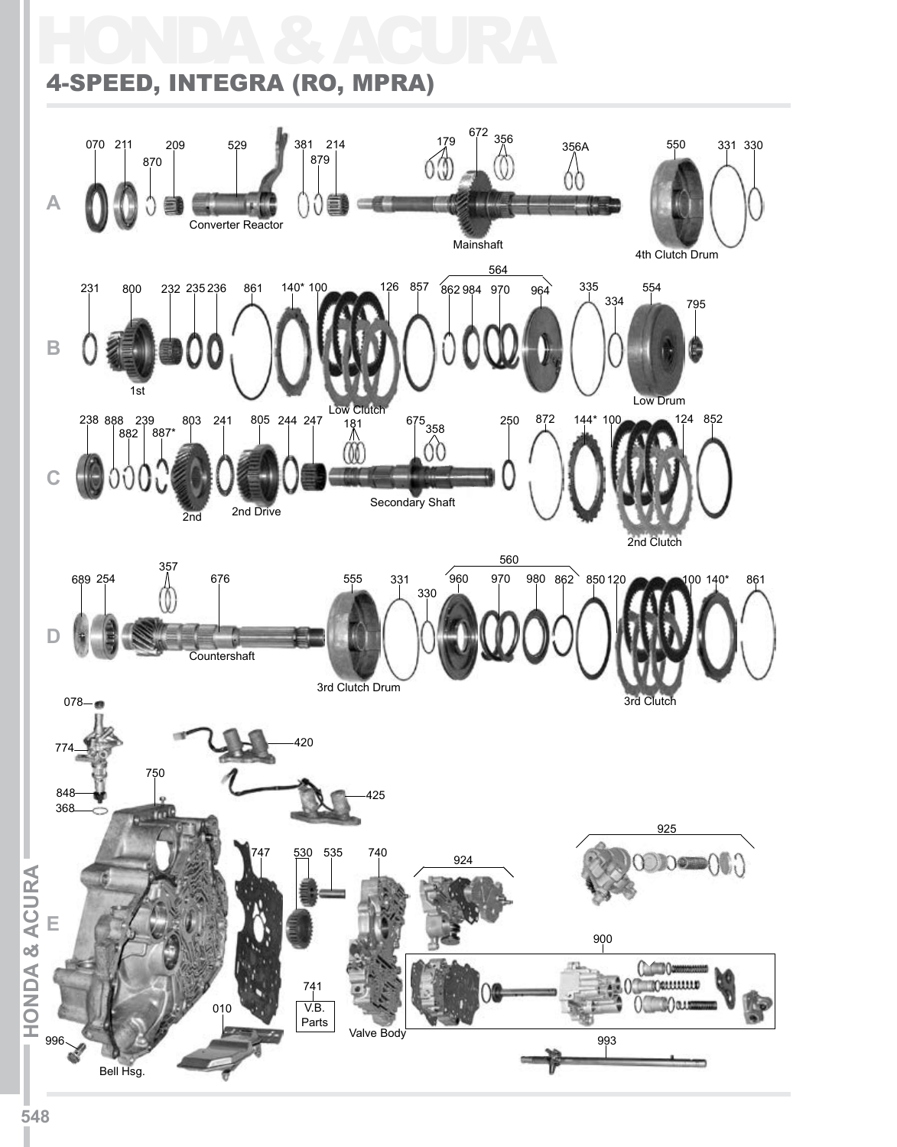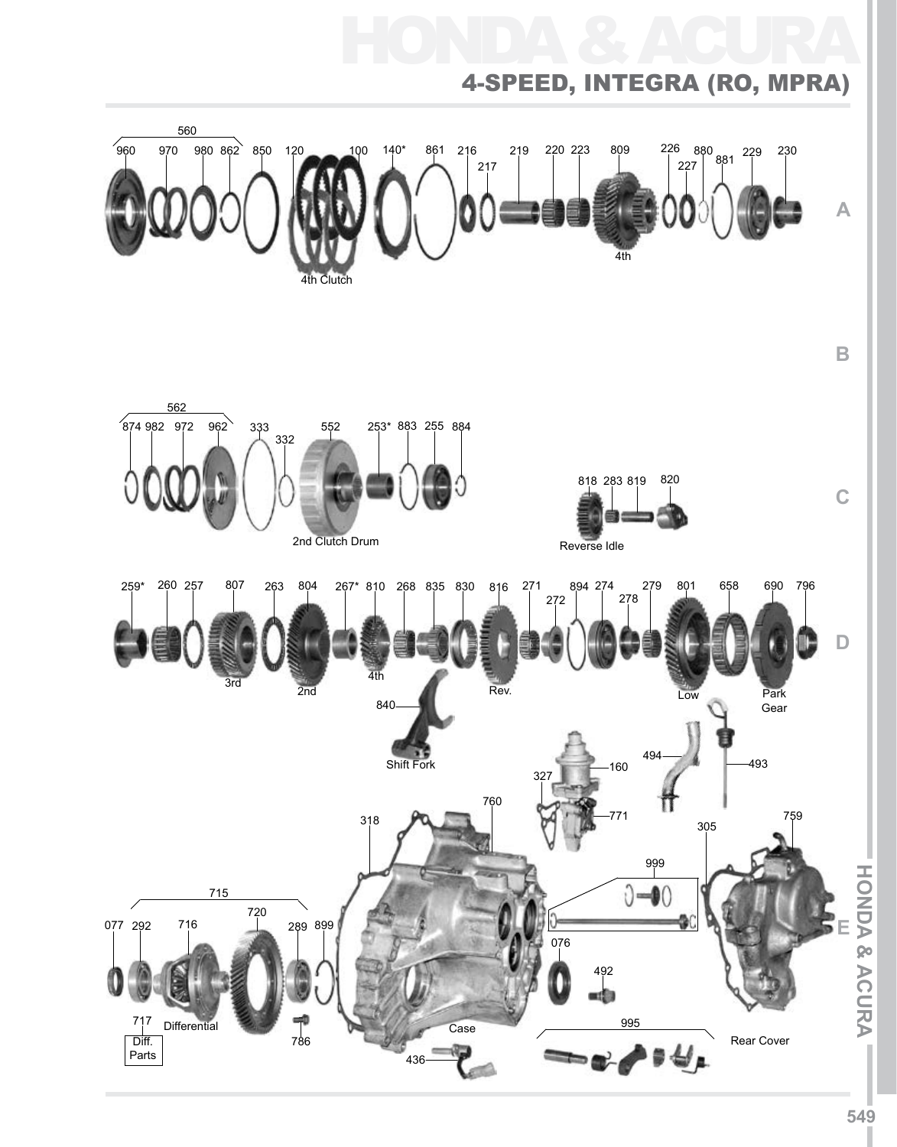

**549**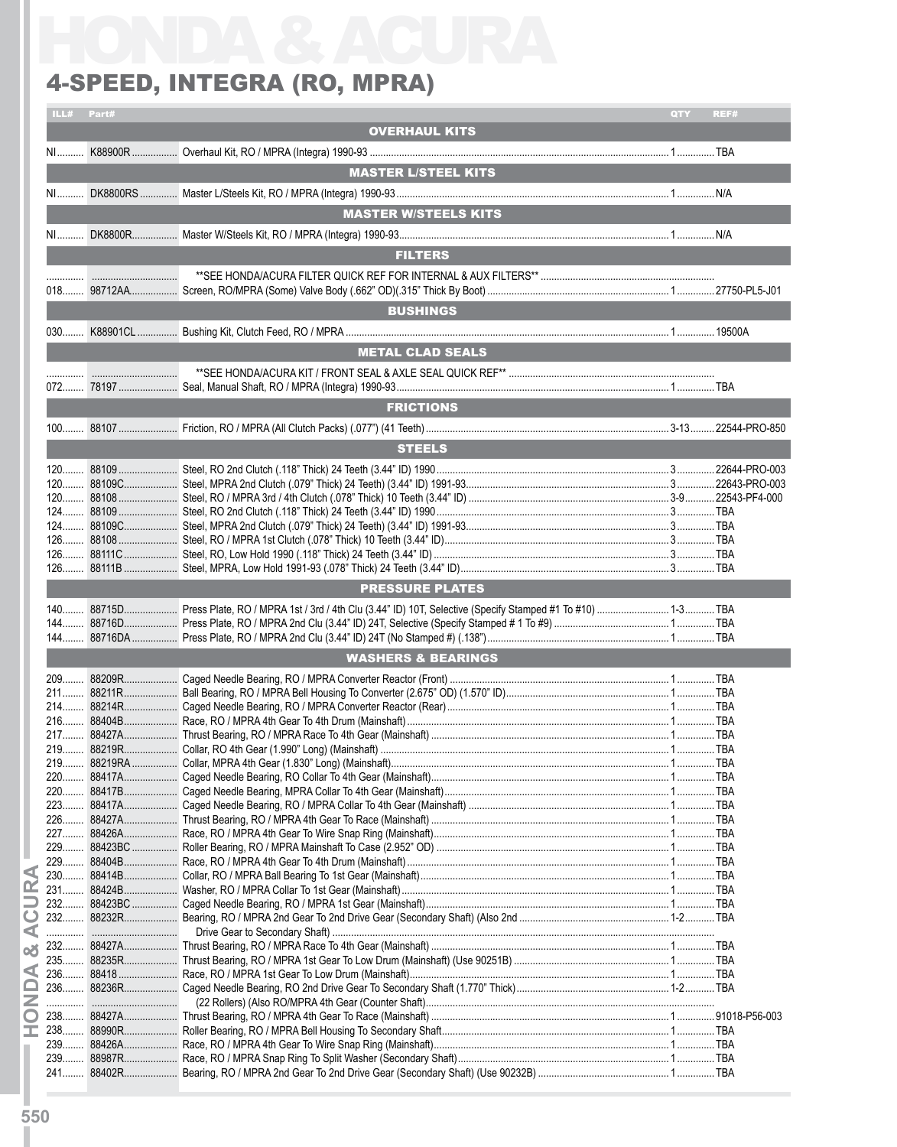## 4-Speed, Integra (RO, MPRA)

|       |            | <b>4-SPEED, INTEGRA (RO, MPRA)</b>                                                                               |     |      |
|-------|------------|------------------------------------------------------------------------------------------------------------------|-----|------|
|       | ILL# Part# |                                                                                                                  | QTY | REF# |
|       |            | <b>OVERHAUL KITS</b>                                                                                             |     |      |
|       |            |                                                                                                                  |     |      |
|       |            | <b>MASTER L/STEEL KITS</b>                                                                                       |     |      |
|       |            |                                                                                                                  |     |      |
|       |            | <b>MASTER W/STEELS KITS</b>                                                                                      |     |      |
|       |            |                                                                                                                  |     |      |
|       |            | <b>FILTERS</b>                                                                                                   |     |      |
|       |            |                                                                                                                  |     |      |
|       |            |                                                                                                                  |     |      |
|       |            | <b>BUSHINGS</b>                                                                                                  |     |      |
|       |            |                                                                                                                  |     |      |
|       |            |                                                                                                                  |     |      |
|       |            | <b>METAL CLAD SEALS</b>                                                                                          |     |      |
|       |            |                                                                                                                  |     |      |
|       |            |                                                                                                                  |     |      |
|       |            | <b>FRICTIONS</b>                                                                                                 |     |      |
|       |            |                                                                                                                  |     |      |
|       |            | <b>STEELS</b>                                                                                                    |     |      |
|       |            |                                                                                                                  |     |      |
|       |            |                                                                                                                  |     |      |
|       |            |                                                                                                                  |     |      |
|       |            |                                                                                                                  |     |      |
|       |            |                                                                                                                  |     |      |
|       |            |                                                                                                                  |     |      |
|       |            |                                                                                                                  |     |      |
|       |            | <b>PRESSURE PLATES</b>                                                                                           |     |      |
|       |            | 140 88715D Press Plate, RO / MPRA 1st / 3rd / 4th Clu (3.44" ID) 10T, Selective (Specify Stamped #1 To #10)  TBA |     |      |
|       |            |                                                                                                                  |     |      |
|       |            |                                                                                                                  |     |      |
|       |            | <b>WASHERS &amp; BEARINGS</b>                                                                                    |     |      |
|       |            |                                                                                                                  |     |      |
|       |            |                                                                                                                  |     |      |
|       |            |                                                                                                                  |     |      |
|       |            |                                                                                                                  |     |      |
|       |            |                                                                                                                  |     |      |
|       |            |                                                                                                                  |     |      |
|       |            |                                                                                                                  |     |      |
|       |            |                                                                                                                  |     |      |
|       |            |                                                                                                                  |     |      |
|       |            |                                                                                                                  |     |      |
|       |            |                                                                                                                  |     |      |
|       |            |                                                                                                                  |     |      |
|       |            |                                                                                                                  |     |      |
| 232   |            |                                                                                                                  |     |      |
| $232$ |            |                                                                                                                  |     |      |
|       |            |                                                                                                                  |     |      |
|       |            |                                                                                                                  |     |      |
|       |            |                                                                                                                  |     |      |
| $236$ |            |                                                                                                                  |     |      |
|       |            |                                                                                                                  |     |      |
|       |            |                                                                                                                  |     |      |
|       |            |                                                                                                                  |     |      |
|       |            |                                                                                                                  |     |      |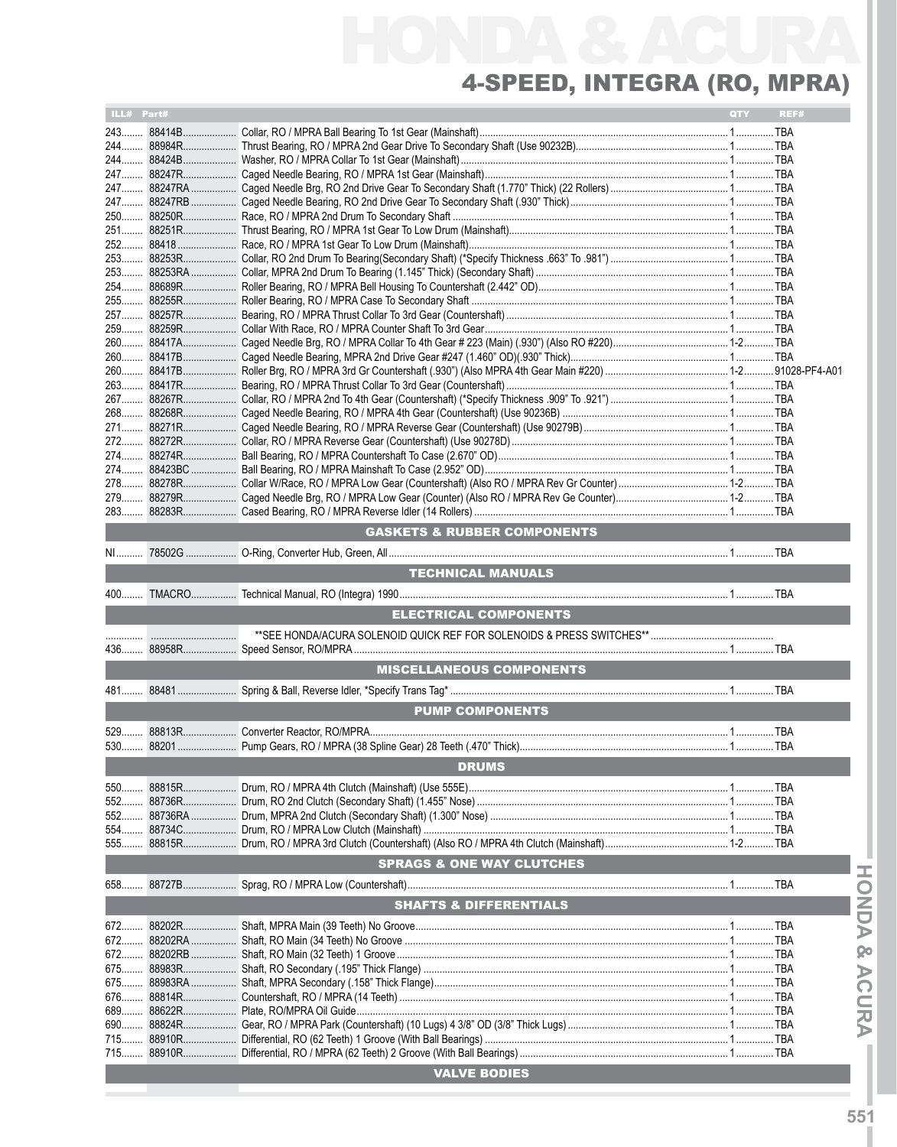## HONDA & ACURA 4-Speed, Integra (RO, MPRA)

| ILL# Part# |                      |                                        | <b>QTY</b> | REF# |
|------------|----------------------|----------------------------------------|------------|------|
|            | 243 88414B           |                                        |            |      |
|            |                      |                                        |            |      |
|            |                      |                                        |            |      |
|            |                      |                                        |            |      |
|            |                      |                                        |            |      |
|            |                      |                                        |            |      |
|            |                      |                                        |            |      |
|            |                      |                                        |            |      |
|            |                      |                                        |            |      |
|            |                      |                                        |            |      |
|            |                      |                                        |            |      |
|            |                      |                                        |            |      |
|            |                      |                                        |            |      |
|            | 260 88417A           |                                        |            |      |
|            |                      |                                        |            |      |
|            |                      |                                        |            |      |
|            |                      |                                        |            |      |
|            |                      |                                        |            |      |
|            |                      |                                        |            |      |
|            |                      |                                        |            |      |
|            |                      |                                        |            |      |
|            |                      |                                        |            |      |
|            |                      |                                        |            |      |
|            |                      |                                        |            |      |
|            |                      |                                        |            |      |
|            |                      | <b>GASKETS &amp; RUBBER COMPONENTS</b> |            |      |
|            |                      |                                        |            |      |
|            |                      |                                        |            |      |
|            |                      | <b>TECHNICAL MANUALS</b>               |            |      |
|            |                      |                                        |            |      |
|            |                      | <b>ELECTRICAL COMPONENTS</b>           |            |      |
|            |                      |                                        |            |      |
|            |                      |                                        |            |      |
|            |                      |                                        |            |      |
|            |                      | <b>MISCELLANEOUS COMPONENTS</b>        |            |      |
|            |                      |                                        |            |      |
|            |                      | <b>PUMP COMPONENTS</b>                 |            |      |
|            |                      |                                        |            |      |
|            |                      |                                        |            |      |
|            |                      | <b>DRUMS</b>                           |            |      |
|            |                      |                                        |            |      |
| 550        | 88815R<br>552 88736R |                                        |            |      |
|            | 552 88736RA          |                                        |            |      |
|            |                      |                                        |            |      |
|            |                      |                                        |            |      |
|            |                      | <b>SPRAGS &amp; ONE WAY CLUTCHES</b>   |            |      |
|            |                      |                                        |            |      |
|            |                      |                                        |            |      |
|            |                      | <b>SHAFTS &amp; DIFFERENTIALS</b>      |            |      |
| 672        |                      |                                        |            |      |
| 672        |                      |                                        |            |      |
|            |                      |                                        |            |      |
|            |                      |                                        |            |      |
| 676        |                      |                                        |            |      |
| 689        |                      |                                        |            |      |
|            |                      |                                        |            |      |
|            |                      |                                        |            |      |
|            |                      |                                        |            |      |
|            |                      | <b>VALVE BODIES</b>                    |            |      |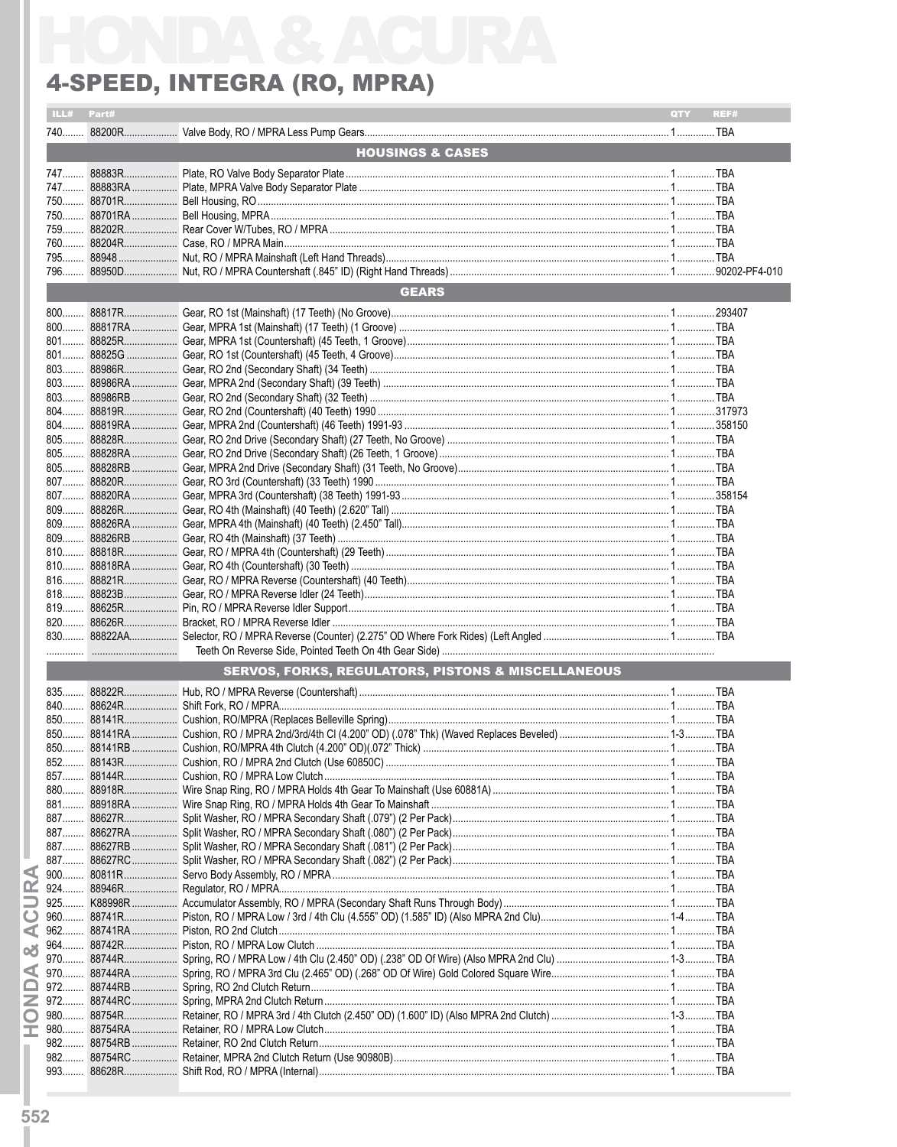## 4-SPEED, INTEGRA (RO, MPRA)

|              | ILL# Part# |                                                               | QTY | REF# |
|--------------|------------|---------------------------------------------------------------|-----|------|
|              |            |                                                               |     |      |
|              |            | <b>HOUSINGS &amp; CASES</b>                                   |     |      |
|              |            |                                                               |     |      |
| 747          |            |                                                               |     |      |
|              |            |                                                               |     |      |
|              |            |                                                               |     |      |
|              |            |                                                               |     |      |
|              |            |                                                               |     |      |
|              |            |                                                               |     |      |
|              |            |                                                               |     |      |
|              |            | <b>GEARS</b>                                                  |     |      |
|              |            |                                                               |     |      |
| $800$        |            |                                                               |     |      |
|              |            |                                                               |     |      |
|              |            |                                                               |     |      |
|              |            |                                                               |     |      |
|              |            |                                                               |     |      |
| 803          |            |                                                               |     |      |
| $804$<br>804 |            |                                                               |     |      |
|              |            |                                                               |     |      |
|              |            |                                                               |     |      |
|              |            |                                                               |     |      |
|              |            |                                                               |     |      |
|              |            |                                                               |     |      |
|              |            |                                                               |     |      |
|              |            |                                                               |     |      |
|              |            |                                                               |     |      |
| $810$        |            |                                                               |     |      |
|              |            |                                                               |     |      |
|              |            |                                                               |     |      |
|              |            |                                                               |     |      |
|              |            |                                                               |     |      |
|              |            |                                                               |     |      |
|              |            |                                                               |     |      |
|              |            | <b>SERVOS, FORKS, REGULATORS, PISTONS &amp; MISCELLANEOUS</b> |     |      |
|              |            |                                                               |     |      |
| 840          |            |                                                               |     |      |
|              |            |                                                               |     |      |
|              |            |                                                               |     |      |
| 850          |            |                                                               |     |      |
| 852          |            |                                                               |     |      |
|              |            |                                                               |     |      |
|              |            |                                                               |     |      |
|              |            |                                                               |     |      |
|              |            |                                                               |     |      |
| 887          |            |                                                               |     |      |
|              |            |                                                               |     |      |
|              |            |                                                               |     |      |
| 924          |            |                                                               |     |      |
| 925          |            |                                                               |     |      |
| $960$        |            |                                                               |     |      |
| $962$        |            |                                                               |     |      |
|              |            |                                                               |     |      |
| 970          |            |                                                               |     |      |
| 972          |            |                                                               |     |      |
| 972          |            |                                                               |     |      |
|              |            |                                                               |     |      |
| 980          |            |                                                               |     |      |
| 982          |            |                                                               |     |      |
| 982          |            |                                                               |     |      |
|              |            |                                                               |     |      |

**HONDA & ACURA**